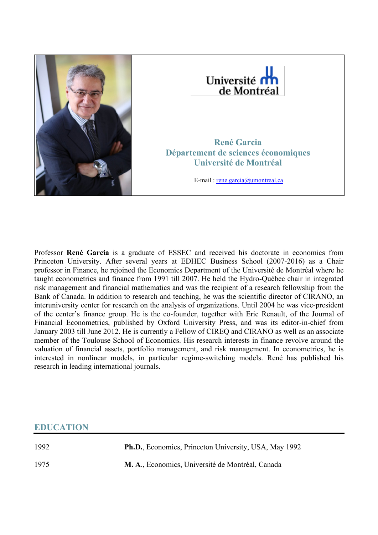



**René Garcia Département de sciences économiques Université de Montréal**

E-mail : [rene.garcia@umontreal.ca](mailto:rene.garcia@umontreal.ca)

Professor **René Garcia** is a graduate of ESSEC and received his doctorate in economics from Princeton University. After several years at EDHEC Business School (2007-2016) as a Chair professor in Finance, he rejoined the Economics Department of the Université de Montréal where he taught econometrics and finance from 1991 till 2007. He held the Hydro-Québec chair in integrated risk management and financial mathematics and was the recipient of a research fellowship from the Bank of Canada. In addition to research and teaching, he was the scientific director of CIRANO, an interuniversity center for research on the analysis of organizations. Until 2004 he was vice-president of the center's finance group. He is the co-founder, together with Eric Renault, of the Journal of Financial Econometrics, published by Oxford University Press, and was its editor-in-chief from January 2003 till June 2012. He is currently a Fellow of CIREQ and CIRANO as well as an associate member of the Toulouse School of Economics. His research interests in finance revolve around the valuation of financial assets, portfolio management, and risk management. In econometrics, he is interested in nonlinear models, in particular regime-switching models. René has published his research in leading international journals.

# **EDUCATION**

1992 **Ph.D.**, Economics, Princeton University, USA, May 1992 1975 **M. A**., Economics, Université de Montréal, Canada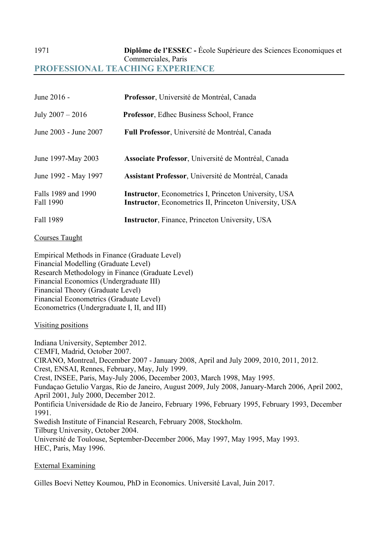# 1971 **Diplôme de l'ESSEC -** École Supérieure des Sciences Economiques et Commerciales, Paris **PROFESSIONAL TEACHING EXPERIENCE**

| June 2016 -                      | Professor, Université de Montréal, Canada                                                                                       |
|----------------------------------|---------------------------------------------------------------------------------------------------------------------------------|
| July $2007 - 2016$               | <b>Professor, Edhec Business School, France</b>                                                                                 |
| June 2003 - June 2007            | Full Professor, Université de Montréal, Canada                                                                                  |
| June 1997-May 2003               | Associate Professor, Université de Montréal, Canada                                                                             |
| June 1992 - May 1997             | Assistant Professor, Université de Montréal, Canada                                                                             |
| Falls 1989 and 1990<br>Fall 1990 | <b>Instructor</b> , Econometrics I, Princeton University, USA<br><b>Instructor</b> , Econometrics II, Princeton University, USA |
| Fall 1989                        | <b>Instructor, Finance, Princeton University, USA</b>                                                                           |

#### Courses Taught

Empirical Methods in Finance (Graduate Level) Financial Modelling (Graduate Level) Research Methodology in Finance (Graduate Level) Financial Economics (Undergraduate III) Financial Theory (Graduate Level) Financial Econometrics (Graduate Level) Econometrics (Undergraduate I, II, and III)

#### Visiting positions

Indiana University, September 2012. CEMFI, Madrid, October 2007. CIRANO, Montreal, December 2007 - January 2008, April and July 2009, 2010, 2011, 2012. Crest, ENSAI, Rennes, February, May, July 1999. Crest, INSEE, Paris, May-July 2006, December 2003, March 1998, May 1995. Fundaçao Getulio Vargas, Rio de Janeiro, August 2009, July 2008, January-March 2006, April 2002, April 2001, July 2000, December 2012. Pontificia Universidade de Rio de Janeiro, February 1996, February 1995, February 1993, December 1991. Swedish Institute of Financial Research, February 2008, Stockholm. Tilburg University, October 2004. Université de Toulouse, September-December 2006, May 1997, May 1995, May 1993. HEC, Paris, May 1996.

#### External Examining

Gilles Boevi Nettey Koumou, PhD in Economics. Université Laval, Juin 2017.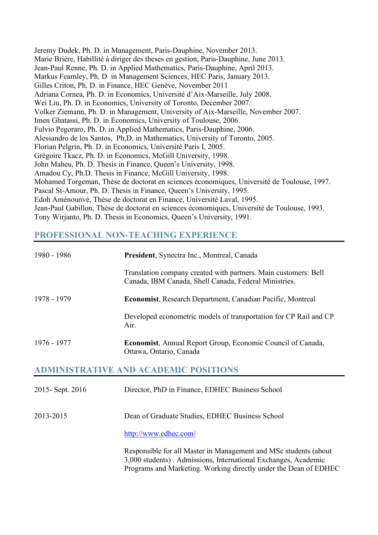Jeremy Dudek, Ph. D. in Management, Paris-Dauphine, November 2013. Marie Brière, Habillité à diriger des theses en gestion, Paris-Dauphine, June 2013. Jean-Paul Renne, Ph. D. in Applied Mathematics, Paris-Dauphine, April 2013. Markus Fearnley, Ph. D in Management Sciences, HEC Paris, January 2013. Gilles Criton, Ph. D. in Finance, HEC Genève, November 2011 Adriana Cornea, Ph. D. in Economics, Université d'Aix-Marseille, July 2008. Wei Liu, Ph. D. in Economics, University of Toronto, December 2007. Volker Ziemann, Ph. D. in Management, University of Aix-Marseille, November 2007. Imen Ghatassi, Ph. D. in Economics, University of Toulouse, 2006. Fulvio Pegoraro, Ph. D. in Applied Mathematics, Paris-Dauphine, 2006. Alessandro de los Santos, Ph,D. in Mathematics, University of Toronto, 2005. Florian Pelgrin, Ph. D. in Economics, Université Paris I, 2005. Grégoire Tkacz, Ph. D. in Economics, McGill University, 1998. John Maheu, Ph. D. Thesis in Finance, Queen's University, 1998. Amadou Cy, Ph.D. Thesis in Finance, McGill University, 1998. Mohamed Torgeman, Thèse de doctorat en sciences économiques, Université de Toulouse, 1997. Pascal St-Amour, Ph. D. Thesis in Finance, Queen's University, 1995. Edoh Aménounvé, Thèse de doctorat en Finance, Université Laval, 1995. Jean-Paul Gabillon, Thèse de doctorat en sciences économiques, Université de Toulouse, 1993. Tony Wirjanto, Ph. D. Thesis in Economics, Queen's University, 1991.

## **PROFESSIONAL NON-TEACHING EXPERIENCE**

| 1980 - 1986       | President, Synectra Inc., Montreal, Canada                                                                                                                                                             |
|-------------------|--------------------------------------------------------------------------------------------------------------------------------------------------------------------------------------------------------|
|                   | Translation company created with partners. Main customers: Bell<br>Canada, IBM Canada, Shell Canada, Federal Ministries.                                                                               |
| 1978 - 1979       | Economist, Research Department, Canadian Pacific, Montreal                                                                                                                                             |
|                   | Developed econometric models of transportation for CP Rail and CP<br>Air.                                                                                                                              |
| 1976 - 1977       | <b>Economist, Annual Report Group, Economic Council of Canada,</b><br>Ottawa, Ontario, Canada                                                                                                          |
|                   | <b>ADMINISTRATIVE AND ACADEMIC POSITIONS</b>                                                                                                                                                           |
| 2015 - Sept. 2016 | Director, PhD in Finance, EDHEC Business School                                                                                                                                                        |
| 2013-2015         | Dean of Graduate Studies, EDHEC Business School                                                                                                                                                        |
|                   | http://www.edhec.com/                                                                                                                                                                                  |
|                   | Responsible for all Master in Management and MSc students (about<br>3,000 students). Admissions, International Exchanges, Academic<br>Programs and Marketing. Working directly under the Dean of EDHEC |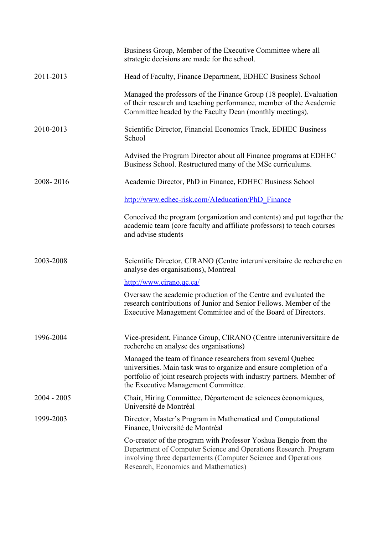|               | Business Group, Member of the Executive Committee where all<br>strategic decisions are made for the school.                                                                                                                                        |
|---------------|----------------------------------------------------------------------------------------------------------------------------------------------------------------------------------------------------------------------------------------------------|
| 2011-2013     | Head of Faculty, Finance Department, EDHEC Business School                                                                                                                                                                                         |
|               | Managed the professors of the Finance Group (18 people). Evaluation<br>of their research and teaching performance, member of the Academic<br>Committee headed by the Faculty Dean (monthly meetings).                                              |
| 2010-2013     | Scientific Director, Financial Economics Track, EDHEC Business<br>School                                                                                                                                                                           |
|               | Advised the Program Director about all Finance programs at EDHEC<br>Business School. Restructured many of the MSc curriculums.                                                                                                                     |
| 2008-2016     | Academic Director, PhD in Finance, EDHEC Business School                                                                                                                                                                                           |
|               | http://www.edhec-risk.com/AIeducation/PhD Finance                                                                                                                                                                                                  |
|               | Conceived the program (organization and contents) and put together the<br>academic team (core faculty and affiliate professors) to teach courses<br>and advise students                                                                            |
| 2003-2008     | Scientific Director, CIRANO (Centre interuniversitaire de recherche en<br>analyse des organisations), Montreal                                                                                                                                     |
|               | http://www.cirano.qc.ca/                                                                                                                                                                                                                           |
|               | Oversaw the academic production of the Centre and evaluated the<br>research contributions of Junior and Senior Fellows. Member of the<br>Executive Management Committee and of the Board of Directors.                                             |
| 1996-2004     | Vice-president, Finance Group, CIRANO (Centre interuniversitaire de<br>recherche en analyse des organisations)                                                                                                                                     |
|               | Managed the team of finance researchers from several Quebec<br>universities. Main task was to organize and ensure completion of a<br>portfolio of joint research projects with industry partners. Member of<br>the Executive Management Committee. |
| $2004 - 2005$ | Chair, Hiring Committee, Département de sciences économiques,<br>Université de Montréal                                                                                                                                                            |
| 1999-2003     | Director, Master's Program in Mathematical and Computational<br>Finance, Université de Montréal                                                                                                                                                    |
|               | Co-creator of the program with Professor Yoshua Bengio from the<br>Department of Computer Science and Operations Research. Program<br>involving three departements (Computer Science and Operations<br>Research, Economics and Mathematics)        |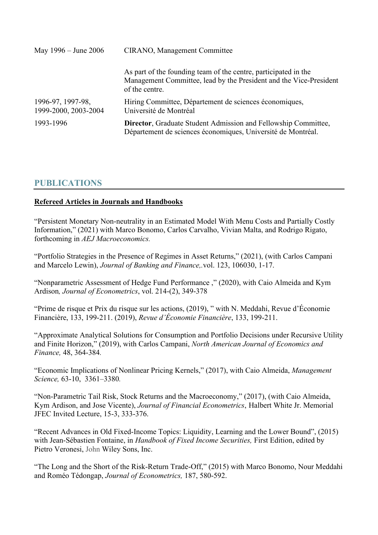| May 1996 – June 2006                      | <b>CIRANO</b> , Management Committee                                                                                                                    |
|-------------------------------------------|---------------------------------------------------------------------------------------------------------------------------------------------------------|
|                                           | As part of the founding team of the centre, participated in the<br>Management Committee, lead by the President and the Vice-President<br>of the centre. |
| 1996-97, 1997-98,<br>1999-2000, 2003-2004 | Hiring Committee, Département de sciences économiques,<br>Université de Montréal                                                                        |
| 1993-1996                                 | Director, Graduate Student Admission and Fellowship Committee,<br>Département de sciences économiques, Université de Montréal.                          |

# **PUBLICATIONS**

#### **Refereed Articles in Journals and Handbooks**

"Persistent Monetary Non-neutrality in an Estimated Model With Menu Costs and Partially Costly Information," (2021) with Marco Bonomo, Carlos Carvalho, Vivian Malta, and Rodrigo Rigato, forthcoming in *AEJ Macroeconomics.*

"Portfolio Strategies in the Presence of Regimes in Asset Returns," (2021), (with Carlos Campani and Marcelo Lewin), *Journal of Banking and Finance,.*vol. 123, 106030, 1-17.

"Nonparametric Assessment of Hedge Fund Performance ," (2020), with Caio Almeida and Kym Ardison*, Journal of Econometrics*, vol. 214-(2), 349-378

"Prime de risque et Prix du risque sur les actions, (2019), " with N. Meddahi, Revue d'Économie Financière, 133, 199-211. (2019), *Revue d'Économie Financière*, 133, 199-211.

"Approximate Analytical Solutions for Consumption and Portfolio Decisions under Recursive Utility and Finite Horizon," (2019), with Carlos Campani, *North American Journal of Economics and Finance,* 48, 364-384*.*

"Economic Implications of Nonlinear Pricing Kernels," (2017), with Caio Almeida, *Management Science,* 63-10, 3361–3380*.*

"Non-Parametric Tail Risk, Stock Returns and the Macroeconomy," (2017), (with Caio Almeida, Kym Ardison, and Jose Vicente), *Journal of Financial Econometrics*, Halbert White Jr. Memorial JFEC Invited Lecture, 15-3, 333-376.

"Recent Advances in Old Fixed-Income Topics: Liquidity, Learning and the Lower Bound", (2015) with Jean-Sébastien Fontaine, in *Handbook of Fixed Income Securities,* First Edition, edited by Pietro Veronesi, John Wiley Sons, Inc.

"The Long and the Short of the Risk-Return Trade-Off," (2015) with Marco Bonomo, Nour Meddahi and Roméo Tédongap, *Journal of Econometrics,* 187, 580-592.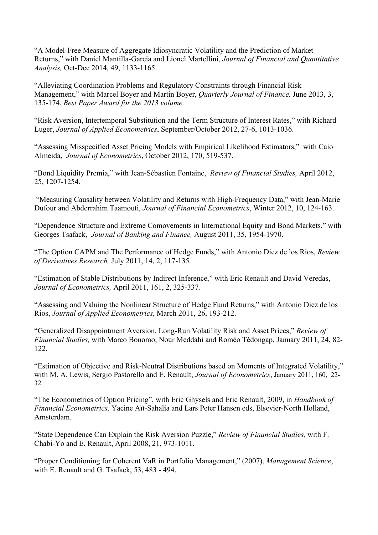"A Model-Free Measure of Aggregate Idiosyncratic Volatility and the Prediction of Market Returns," with Daniel Mantilla-Garcia and Lionel Martellini, *Journal of Financial and Quantitative Analysis,* Oct-Dec 2014, 49, 1133-1165.

"Alleviating Coordination Problems and Regulatory Constraints through Financial Risk Management," with Marcel Boyer and Martin Boyer, *Quarterly Journal of Finance,* June 2013, 3, 135-174. *Best Paper Award for the 2013 volume.* 

"Risk Aversion, Intertemporal Substitution and the Term Structure of Interest Rates," with Richard Luger, *Journal of Applied Econometrics*, September/October 2012, 27-6, 1013-1036.

"Assessing Misspecified Asset Pricing Models with Empirical Likelihood Estimators," with Caio Almeida, *Journal of Econometrics*, October 2012, 170, 519-537.

"Bond Liquidity Premia," with Jean-Sébastien Fontaine, *Review of Financial Studies,* April 2012, 25, 1207-1254.

"Measuring Causality between Volatility and Returns with High-Frequency Data," with Jean-Marie Dufour and Abderrahim Taamouti, *Journal of Financial Econometrics*, Winter 2012, 10, 124-163.

"Dependence Structure and Extreme Comovements in International Equity and Bond Markets," with Georges Tsafack, *Journal of Banking and Finance,* August 2011, 35, 1954-1970.

"The Option CAPM and The Performance of Hedge Funds," with Antonio Diez de los Rios, *Review of Derivatives Research,* July 2011, 14, 2, 117-135*.*

"Estimation of Stable Distributions by Indirect Inference," with Eric Renault and David Veredas, *Journal of Econometrics,* April 2011, 161, 2, 325-337*.*

"Assessing and Valuing the Nonlinear Structure of Hedge Fund Returns," with Antonio Diez de los Rios, *Journal of Applied Econometrics*, March 2011, 26, 193-212.

"Generalized Disappointment Aversion, Long-Run Volatility Risk and Asset Prices," *Review of Financial Studies,* with Marco Bonomo, Nour Meddahi and Roméo Tédongap, January 2011, 24, 82- 122.

"Estimation of Objective and Risk-Neutral Distributions based on Moments of Integrated Volatility," with M. A. Lewis, Sergio Pastorello and E. Renault, *Journal of Econometrics*, January 2011, 160, 22- 32.

"The Econometrics of Option Pricing", with Eric Ghysels and Eric Renault, 2009, in *Handbook of Financial Econometrics,* Yacine Aït-Sahalia and Lars Peter Hansen eds, Elsevier-North Holland, Amsterdam.

"State Dependence Can Explain the Risk Aversion Puzzle," *Review of Financial Studies,* with F. Chabi-Yo and E. Renault, April 2008, 21, 973-1011.

"Proper Conditioning for Coherent VaR in Portfolio Management," (2007), *Management Science*, with E. Renault and G. Tsafack, 53, 483 - 494.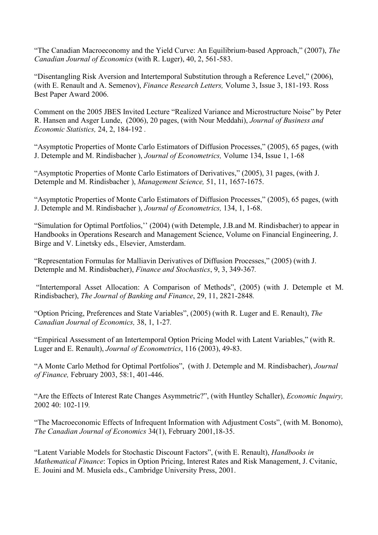"The Canadian Macroeconomy and the Yield Curve: An Equilibrium-based Approach," (2007), *The Canadian Journal of Economics* (with R. Luger), 40, 2, 561-583.

"Disentangling Risk Aversion and Intertemporal Substitution through a Reference Level," (2006), (with E. Renault and A. Semenov), *Finance Research Letters,* Volume 3, Issue 3, 181-193. Ross Best Paper Award 2006.

Comment on the 2005 JBES Invited Lecture "Realized Variance and Microstructure Noise" by Peter R. Hansen and Asger Lunde, (2006), 20 pages, (with Nour Meddahi), *Journal of Business and Economic Statistics,* 24, 2, 184-192 *.*

"Asymptotic Properties of Monte Carlo Estimators of Diffusion Processes," (2005), 65 pages, (with J. Detemple and M. Rindisbacher ), *Journal of Econometrics,* Volume 134, Issue 1, 1-68

"Asymptotic Properties of Monte Carlo Estimators of Derivatives," (2005), 31 pages, (with J. Detemple and M. Rindisbacher ), *Management Science,* 51, 11, 1657-1675.

"Asymptotic Properties of Monte Carlo Estimators of Diffusion Processes," (2005), 65 pages, (with J. Detemple and M. Rindisbacher ), *Journal of Econometrics,* 134, 1, 1-68.

"Simulation for Optimal Portfolios,'' (2004) (with Detemple, J.B.and M. Rindisbacher) to appear in Handbooks in Operations Research and Management Science, Volume on Financial Engineering, J. Birge and V. Linetsky eds., Elsevier, Amsterdam.

"Representation Formulas for Malliavin Derivatives of Diffusion Processes," (2005) (with J. Detemple and M. Rindisbacher), *Finance and Stochastics*, 9, 3, 349-367*.*

"Intertemporal Asset Allocation: A Comparison of Methods", (2005) (with J. Detemple et M. Rindisbacher), *The Journal of Banking and Finance*, 29, 11, 2821-2848*.*

"Option Pricing, Preferences and State Variables", (2005) (with R. Luger and E. Renault), *The Canadian Journal of Economics,* 38, 1, 1-27*.*

"Empirical Assessment of an Intertemporal Option Pricing Model with Latent Variables," (with R. Luger and E. Renault), *Journal of Econometrics*, 116 (2003), 49-83.

"A Monte Carlo Method for Optimal Portfolios", (with J. Detemple and M. Rindisbacher), *Journal of Finance,* February 2003, 58:1, 401-446.

"Are the Effects of Interest Rate Changes Asymmetric?", (with Huntley Schaller), *Economic Inquiry,*  2002 40: 102-119*.*

"The Macroeconomic Effects of Infrequent Information with Adjustment Costs", (with M. Bonomo), *The Canadian Journal of Economics* 34(1), February 2001,18-35.

"Latent Variable Models for Stochastic Discount Factors", (with E. Renault), *Handbooks in Mathematical Finance*: Topics in Option Pricing, Interest Rates and Risk Management, J. Cvitanic, E. Jouini and M. Musiela eds., Cambridge University Press, 2001.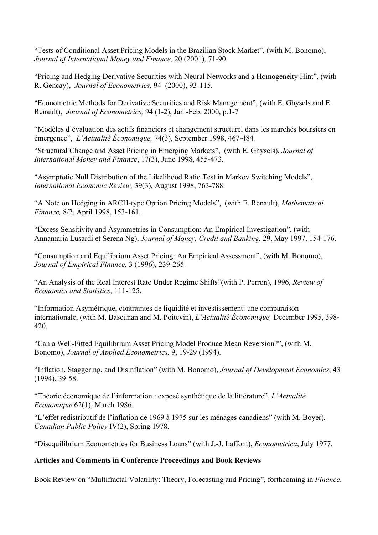"Tests of Conditional Asset Pricing Models in the Brazilian Stock Market", (with M. Bonomo), *Journal of International Money and Finance,* 20 (2001), 71-90.

"Pricing and Hedging Derivative Securities with Neural Networks and a Homogeneity Hint", (with R. Gencay), *Journal of Econometrics,* 94 (2000), 93-115*.*

"Econometric Methods for Derivative Securities and Risk Management", (with E. Ghysels and E. Renault), *Journal of Econometrics,* 94 (1-2), Jan.-Feb. 2000, p.1-7

"Modèles d'évaluation des actifs financiers et changement structurel dans les marchés boursiers en émergence", *L'Actualité Économique,* 74(3), September 1998, 467-484*.*

"Structural Change and Asset Pricing in Emerging Markets", (with E. Ghysels), *Journal of International Money and Finance*, 17(3), June 1998, 455-473.

"Asymptotic Null Distribution of the Likelihood Ratio Test in Markov Switching Models", *International Economic Review,* 39(3), August 1998, 763-788.

"A Note on Hedging in ARCH-type Option Pricing Models", (with E. Renault), *Mathematical Finance,* 8/2, April 1998, 153-161.

"Excess Sensitivity and Asymmetries in Consumption: An Empirical Investigation", (with Annamaria Lusardi et Serena Ng), *Journal of Money, Credit and Banking,* 29, May 1997, 154-176.

"Consumption and Equilibrium Asset Pricing: An Empirical Assessment", (with M. Bonomo), *Journal of Empirical Finance,* 3 (1996), 239-265.

"An Analysis of the Real Interest Rate Under Regime Shifts"(with P. Perron), 1996, *Review of Economics and Statistics,* 111-125.

"Information Asymétrique, contraintes de liquidité et investissement: une comparaison internationale, (with M. Bascunan and M. Poitevin), *L'Actualité Économique,* December 1995, 398- 420.

"Can a Well-Fitted Equilibrium Asset Pricing Model Produce Mean Reversion?", (with M. Bonomo), *Journal of Applied Econometrics,* 9, 19-29 (1994).

"Inflation, Staggering, and Disinflation" (with M. Bonomo), *Journal of Development Economics*, 43 (1994), 39-58.

"Théorie économique de l'information : exposé synthétique de la littérature", *L'Actualité Economique* 62(1), March 1986.

"L'effet redistributif de l'inflation de 1969 à 1975 sur les ménages canadiens" (with M. Boyer), *Canadian Public Policy* IV(2), Spring 1978.

"Disequilibrium Econometrics for Business Loans" (with J.-J. Laffont), *Econometrica*, July 1977.

## **Articles and Comments in Conference Proceedings and Book Reviews**

Book Review on "Multifractal Volatility: Theory, Forecasting and Pricing", forthcoming in *Finance*.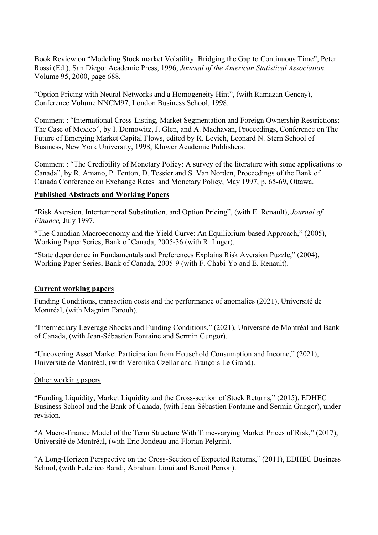Book Review on "Modeling Stock market Volatility: Bridging the Gap to Continuous Time", Peter Rossi (Ed.), San Diego: Academic Press, 1996, *Journal of the American Statistical Association,* Volume 95, 2000, page 688*.*

"Option Pricing with Neural Networks and a Homogeneity Hint", (with Ramazan Gencay), Conference Volume NNCM97, London Business School, 1998.

Comment : "International Cross-Listing, Market Segmentation and Foreign Ownership Restrictions: The Case of Mexico", by I. Domowitz, J. Glen, and A. Madhavan, Proceedings, Conference on The Future of Emerging Market Capital Flows, edited by R. Levich, Leonard N. Stern School of Business, New York University, 1998, Kluwer Academic Publishers.

Comment : "The Credibility of Monetary Policy: A survey of the literature with some applications to Canada", by R. Amano, P. Fenton, D. Tessier and S. Van Norden, Proceedings of the Bank of Canada Conference on Exchange Rates and Monetary Policy, May 1997, p. 65-69, Ottawa.

#### **Published Abstracts and Working Papers**

"Risk Aversion, Intertemporal Substitution, and Option Pricing", (with E. Renault), *Journal of Finance,* July 1997.

"The Canadian Macroeconomy and the Yield Curve: An Equilibrium-based Approach," (2005), Working Paper Series, Bank of Canada, 2005-36 (with R. Luger).

"State dependence in Fundamentals and Preferences Explains Risk Aversion Puzzle," (2004), Working Paper Series, Bank of Canada, 2005-9 (with F. Chabi-Yo and E. Renault).

#### **Current working papers**

Funding Conditions, transaction costs and the performance of anomalies (2021), Université de Montréal, (with Magnim Farouh).

"Intermediary Leverage Shocks and Funding Conditions," (2021), Université de Montréal and Bank of Canada, (with Jean-Sébastien Fontaine and Sermin Gungor).

"Uncovering Asset Market Participation from Household Consumption and Income," (2021), Université de Montréal, (with Veronika Czellar and François Le Grand).

#### *.* Other working papers

"Funding Liquidity, Market Liquidity and the Cross-section of Stock Returns," (2015), EDHEC Business School and the Bank of Canada, (with Jean-Sébastien Fontaine and Sermin Gungor), under revision.

"A Macro-finance Model of the Term Structure With Time-varying Market Prices of Risk," (2017), Université de Montréal, (with Eric Jondeau and Florian Pelgrin).

"A Long-Horizon Perspective on the Cross-Section of Expected Returns," (2011), EDHEC Business School, (with Federico Bandi, Abraham Lioui and Benoit Perron).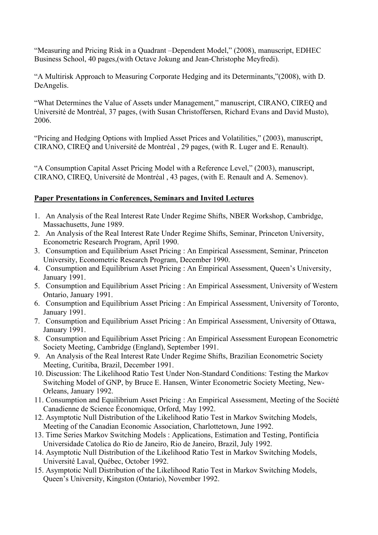"Measuring and Pricing Risk in a Quadrant –Dependent Model," (2008), manuscript, EDHEC Business School, 40 pages,(with Octave Jokung and Jean-Christophe Meyfredi).

"A Multirisk Approach to Measuring Corporate Hedging and its Determinants,"(2008), with D. DeAngelis.

"What Determines the Value of Assets under Management," manuscript, CIRANO, CIREQ and Université de Montréal, 37 pages, (with Susan Christoffersen, Richard Evans and David Musto), 2006.

"Pricing and Hedging Options with Implied Asset Prices and Volatilities," (2003), manuscript, CIRANO, CIREQ and Université de Montréal , 29 pages, (with R. Luger and E. Renault).

"A Consumption Capital Asset Pricing Model with a Reference Level," (2003), manuscript, CIRANO, CIREQ, Université de Montréal , 43 pages, (with E. Renault and A. Semenov).

### **Paper Presentations in Conferences, Seminars and Invited Lectures**

- 1. An Analysis of the Real Interest Rate Under Regime Shifts, NBER Workshop, Cambridge, Massachusetts, June 1989.
- 2. An Analysis of the Real Interest Rate Under Regime Shifts, Seminar, Princeton University, Econometric Research Program, April 1990.
- 3. Consumption and Equilibrium Asset Pricing : An Empirical Assessment, Seminar, Princeton University, Econometric Research Program, December 1990.
- 4. Consumption and Equilibrium Asset Pricing : An Empirical Assessment, Queen's University, January 1991.
- 5. Consumption and Equilibrium Asset Pricing : An Empirical Assessment, University of Western Ontario, January 1991.
- 6. Consumption and Equilibrium Asset Pricing : An Empirical Assessment, University of Toronto, January 1991.
- 7. Consumption and Equilibrium Asset Pricing : An Empirical Assessment, University of Ottawa, January 1991.
- 8. Consumption and Equilibrium Asset Pricing : An Empirical Assessment European Econometric Society Meeting, Cambridge (England), September 1991.
- 9. An Analysis of the Real Interest Rate Under Regime Shifts, Brazilian Econometric Society Meeting, Curitiba, Brazil, December 1991.
- 10. Discussion: The Likelihood Ratio Test Under Non-Standard Conditions: Testing the Markov Switching Model of GNP, by Bruce E. Hansen, Winter Econometric Society Meeting, New-Orleans, January 1992.
- 11. Consumption and Equilibrium Asset Pricing : An Empirical Assessment, Meeting of the Société Canadienne de Science Économique, Orford, May 1992.
- 12. Asymptotic Null Distribution of the Likelihood Ratio Test in Markov Switching Models, Meeting of the Canadian Economic Association, Charlottetown, June 1992.
- 13. Time Series Markov Switching Models : Applications, Estimation and Testing, Pontificia Universidade Catolica do Rio de Janeiro, Rio de Janeiro, Brazil, July 1992.
- 14. Asymptotic Null Distribution of the Likelihood Ratio Test in Markov Switching Models, Université Laval, Québec, October 1992.
- 15. Asymptotic Null Distribution of the Likelihood Ratio Test in Markov Switching Models, Queen's University, Kingston (Ontario), November 1992.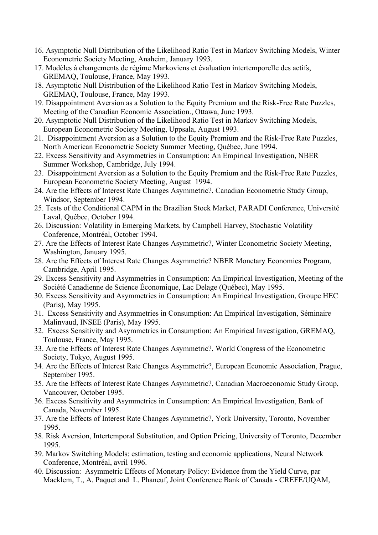- 16. Asymptotic Null Distribution of the Likelihood Ratio Test in Markov Switching Models, Winter Econometric Society Meeting, Anaheim, January 1993.
- 17. Modèles à changements de régime Markoviens et évaluation intertemporelle des actifs, GREMAQ, Toulouse, France, May 1993.
- 18. Asymptotic Null Distribution of the Likelihood Ratio Test in Markov Switching Models, GREMAQ, Toulouse, France, May 1993.
- 19. Disappointment Aversion as a Solution to the Equity Premium and the Risk-Free Rate Puzzles, Meeting of the Canadian Economic Association., Ottawa, June 1993.
- 20. Asymptotic Null Distribution of the Likelihood Ratio Test in Markov Switching Models, European Econometric Society Meeting, Uppsala, August 1993.
- 21. Disappointment Aversion as a Solution to the Equity Premium and the Risk-Free Rate Puzzles, North American Econometric Society Summer Meeting, Québec, June 1994.
- 22. Excess Sensitivity and Asymmetries in Consumption: An Empirical Investigation, NBER Summer Workshop, Cambridge, July 1994.
- 23. Disappointment Aversion as a Solution to the Equity Premium and the Risk-Free Rate Puzzles, European Econometric Society Meeting, August 1994.
- 24. Are the Effects of Interest Rate Changes Asymmetric?, Canadian Econometric Study Group, Windsor, September 1994.
- 25. Tests of the Conditional CAPM in the Brazilian Stock Market, PARADI Conference, Université Laval, Québec, October 1994.
- 26. Discussion: Volatility in Emerging Markets, by Campbell Harvey, Stochastic Volatility Conference, Montréal, October 1994.
- 27. Are the Effects of Interest Rate Changes Asymmetric?, Winter Econometric Society Meeting, Washington, January 1995.
- 28. Are the Effects of Interest Rate Changes Asymmetric? NBER Monetary Economics Program, Cambridge, April 1995.
- 29. Excess Sensitivity and Asymmetries in Consumption: An Empirical Investigation, Meeting of the Société Canadienne de Science Économique, Lac Delage (Québec), May 1995.
- 30. Excess Sensitivity and Asymmetries in Consumption: An Empirical Investigation, Groupe HEC (Paris), May 1995.
- 31. Excess Sensitivity and Asymmetries in Consumption: An Empirical Investigation, Séminaire Malinvaud, INSEE (Paris), May 1995.
- 32. Excess Sensitivity and Asymmetries in Consumption: An Empirical Investigation, GREMAQ, Toulouse, France, May 1995.
- 33. Are the Effects of Interest Rate Changes Asymmetric?, World Congress of the Econometric Society, Tokyo, August 1995.
- 34. Are the Effects of Interest Rate Changes Asymmetric?, European Economic Association, Prague, September 1995.
- 35. Are the Effects of Interest Rate Changes Asymmetric?, Canadian Macroeconomic Study Group, Vancouver, October 1995.
- 36. Excess Sensitivity and Asymmetries in Consumption: An Empirical Investigation, Bank of Canada, November 1995.
- 37. Are the Effects of Interest Rate Changes Asymmetric?, York University, Toronto, November 1995.
- 38. Risk Aversion, Intertemporal Substitution, and Option Pricing, University of Toronto, December 1995.
- 39. Markov Switching Models: estimation, testing and economic applications, Neural Network Conference, Montréal, avril 1996.
- 40. Discussion: Asymmetric Effects of Monetary Policy: Evidence from the Yield Curve, par Macklem, T., A. Paquet and L. Phaneuf, Joint Conference Bank of Canada - CREFE/UQAM,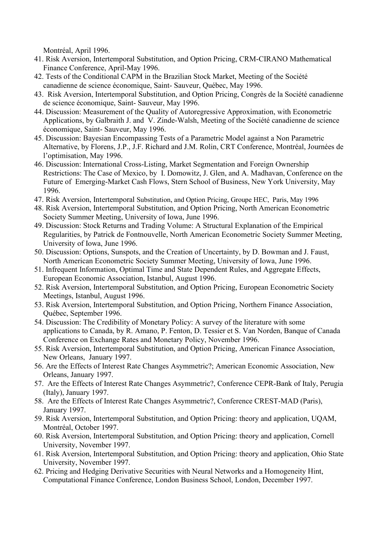Montréal, April 1996.

- 41. Risk Aversion, Intertemporal Substitution, and Option Pricing, CRM-CIRANO Mathematical Finance Conference, April-May 1996.
- 42. Tests of the Conditional CAPM in the Brazilian Stock Market, Meeting of the Société canadienne de science économique, Saint- Sauveur, Québec, May 1996.
- 43. Risk Aversion, Intertemporal Substitution, and Option Pricing, Congrès de la Société canadienne de science économique, Saint- Sauveur, May 1996.
- 44. Discussion: Measurement of the Quality of Autoregressive Approximation, with Econometric Applications, by Galbraith J. and V. Zinde-Walsh, Meeting of the Société canadienne de science économique, Saint- Sauveur, May 1996.
- 45. Discussion: Bayesian Encompassing Tests of a Parametric Model against a Non Parametric Alternative, by Florens, J.P., J.F. Richard and J.M. Rolin, CRT Conference, Montréal, Journées de l'optimisation, May 1996.
- 46. Discussion: International Cross-Listing, Market Segmentation and Foreign Ownership Restrictions: The Case of Mexico, by I. Domowitz, J. Glen, and A. Madhavan, Conference on the Future of Emerging-Market Cash Flows, Stern School of Business, New York University, May 1996.
- 47. Risk Aversion, Intertemporal Substitution, and Option Pricing, Groupe HEC, Paris, May 1996
- 48. Risk Aversion, Intertemporal Substitution, and Option Pricing, North American Econometric Society Summer Meeting, University of Iowa, June 1996.
- 49. Discussion: Stock Returns and Trading Volume: A Structural Explanation of the Empirical Regularities, by Patrick de Fontnouvelle, North American Econometric Society Summer Meeting, University of Iowa, June 1996.
- 50. Discussion: Options, Sunspots, and the Creation of Uncertainty, by D. Bowman and J. Faust, North American Econometric Society Summer Meeting, University of Iowa, June 1996.
- 51. Infrequent Information, Optimal Time and State Dependent Rules, and Aggregate Effects, European Economic Association, Istanbul, August 1996.
- 52. Risk Aversion, Intertemporal Substitution, and Option Pricing, European Econometric Society Meetings, Istanbul, August 1996.
- 53. Risk Aversion, Intertemporal Substitution, and Option Pricing, Northern Finance Association, Québec, September 1996.
- 54. Discussion: The Credibility of Monetary Policy: A survey of the literature with some applications to Canada, by R. Amano, P. Fenton, D. Tessier et S. Van Norden, Banque of Canada Conference on Exchange Rates and Monetary Policy, November 1996.
- 55. Risk Aversion, Intertemporal Substitution, and Option Pricing, American Finance Association, New Orleans, January 1997.
- 56. Are the Effects of Interest Rate Changes Asymmetric?; American Economic Association, New Orleans, January 1997.
- 57. Are the Effects of Interest Rate Changes Asymmetric?, Conference CEPR-Bank of Italy, Perugia (Italy), January 1997.
- 58. Are the Effects of Interest Rate Changes Asymmetric?, Conference CREST-MAD (Paris), January 1997.
- 59. Risk Aversion, Intertemporal Substitution, and Option Pricing: theory and application, UQAM, Montréal, October 1997.
- 60. Risk Aversion, Intertemporal Substitution, and Option Pricing: theory and application, Cornell University, November 1997.
- 61. Risk Aversion, Intertemporal Substitution, and Option Pricing: theory and application, Ohio State University, November 1997.
- 62. Pricing and Hedging Derivative Securities with Neural Networks and a Homogeneity Hint, Computational Finance Conference, London Business School, London, December 1997.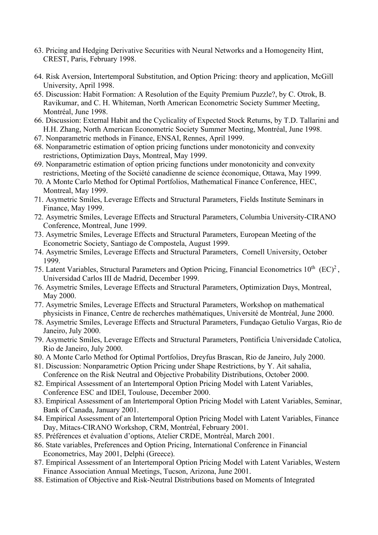- 63. Pricing and Hedging Derivative Securities with Neural Networks and a Homogeneity Hint, CREST, Paris, February 1998.
- 64. Risk Aversion, Intertemporal Substitution, and Option Pricing: theory and application, McGill University, April 1998.
- 65. Discussion: Habit Formation: A Resolution of the Equity Premium Puzzle?, by C. Otrok, B. Ravikumar, and C. H. Whiteman, North American Econometric Society Summer Meeting, Montréal, June 1998.
- 66. Discussion: External Habit and the Cyclicality of Expected Stock Returns, by T.D. Tallarini and H.H. Zhang, North American Econometric Society Summer Meeting, Montréal, June 1998.
- 67. Nonparametric methods in Finance, ENSAI, Rennes, April 1999.
- 68. Nonparametric estimation of option pricing functions under monotonicity and convexity restrictions, Optimization Days, Montreal, May 1999.
- 69. Nonparametric estimation of option pricing functions under monotonicity and convexity restrictions, Meeting of the Société canadienne de science économique, Ottawa, May 1999.
- 70. A Monte Carlo Method for Optimal Portfolios, Mathematical Finance Conference, HEC, Montreal, May 1999.
- 71. Asymetric Smiles, Leverage Effects and Structural Parameters, Fields Institute Seminars in Finance, May 1999.
- 72. Asymetric Smiles, Leverage Effects and Structural Parameters, Columbia University-CIRANO Conference, Montreal, June 1999.
- 73. Asymetric Smiles, Leverage Effects and Structural Parameters, European Meeting of the Econometric Society, Santiago de Compostela, August 1999.
- 74. Asymetric Smiles, Leverage Effects and Structural Parameters, Cornell University, October 1999.
- 75. Latent Variables, Structural Parameters and Option Pricing, Financial Econometrics  $10^{th}$  (EC)<sup>2</sup>, Universidad Carlos III de Madrid, December 1999.
- 76. Asymetric Smiles, Leverage Effects and Structural Parameters, Optimization Days, Montreal, May 2000.
- 77. Asymetric Smiles, Leverage Effects and Structural Parameters, Workshop on mathematical physicists in Finance, Centre de recherches mathématiques, Université de Montréal, June 2000.
- 78. Asymetric Smiles, Leverage Effects and Structural Parameters, Fundaçao Getulio Vargas, Rio de Janeiro, July 2000.
- 79. Asymetric Smiles, Leverage Effects and Structural Parameters, Pontificia Universidade Catolica, Rio de Janeiro, July 2000.
- 80. A Monte Carlo Method for Optimal Portfolios, Dreyfus Brascan, Rio de Janeiro, July 2000.
- 81. Discussion: Nonparametric Option Pricing under Shape Restrictions, by Y. Ait sahalia, Conference on the Risk Neutral and Objective Probability Distributions, October 2000.
- 82. Empirical Assessment of an Intertemporal Option Pricing Model with Latent Variables, Conference ESC and IDEI, Toulouse, December 2000.
- 83. Empirical Assessment of an Intertemporal Option Pricing Model with Latent Variables, Seminar, Bank of Canada, January 2001.
- 84. Empirical Assessment of an Intertemporal Option Pricing Model with Latent Variables, Finance Day, Mitacs-CIRANO Workshop, CRM, Montréal, February 2001.
- 85. Préférences et évaluation d'options, Atelier CRDE, Montréal, March 2001.
- 86. State variables, Preferences and Option Pricing, International Conference in Financial Econometrics, May 2001, Delphi (Greece).
- 87. Empirical Assessment of an Intertemporal Option Pricing Model with Latent Variables, Western Finance Association Annual Meetings, Tucson, Arizona, June 2001.
- 88. Estimation of Objective and Risk-Neutral Distributions based on Moments of Integrated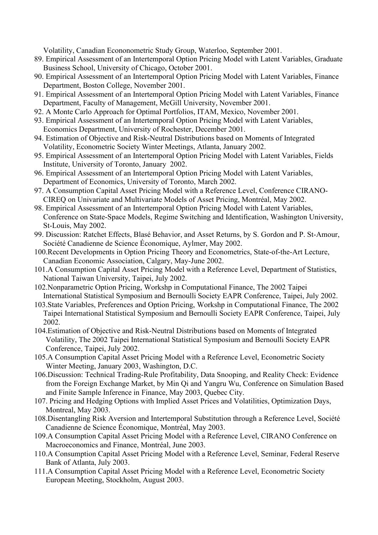Volatility, Canadian Econonometric Study Group, Waterloo, September 2001.

- 89. Empirical Assessment of an Intertemporal Option Pricing Model with Latent Variables, Graduate Business School, University of Chicago, October 2001.
- 90. Empirical Assessment of an Intertemporal Option Pricing Model with Latent Variables, Finance Department, Boston College, November 2001.
- 91. Empirical Assessment of an Intertemporal Option Pricing Model with Latent Variables, Finance Department, Faculty of Management, McGill University, November 2001.
- 92. A Monte Carlo Approach for Optimal Portfolios, ITAM, Mexico, November 2001.
- 93. Empirical Assessment of an Intertemporal Option Pricing Model with Latent Variables, Economics Department, University of Rochester, December 2001.
- 94. Estimation of Objective and Risk-Neutral Distributions based on Moments of Integrated Volatility, Econometric Society Winter Meetings, Atlanta, January 2002.
- 95. Empirical Assessment of an Intertemporal Option Pricing Model with Latent Variables, Fields Institute, University of Toronto, January 2002.
- 96. Empirical Assessment of an Intertemporal Option Pricing Model with Latent Variables, Department of Economics, University of Toronto, March 2002.
- 97. A Consumption Capital Asset Pricing Model with a Reference Level, Conference CIRANO-CIREQ on Univariate and Multivariate Models of Asset Pricing, Montréal, May 2002.
- 98. Empirical Assessment of an Intertemporal Option Pricing Model with Latent Variables, Conference on State-Space Models, Regime Switching and Identification, Washington University, St-Louis, May 2002.
- 99. Discussion: Ratchet Effects, Blasé Behavior, and Asset Returns, by S. Gordon and P. St-Amour, Société Canadienne de Science Économique, Aylmer, May 2002.
- 100.Recent Developments in Option Pricing Theory and Econometrics, State-of-the-Art Lecture, Canadian Economic Association, Calgary, May-June 2002.
- 101.A Consumption Capital Asset Pricing Model with a Reference Level, Department of Statistics, National Taiwan University, Taipei, July 2002.
- 102.Nonparametric Option Pricing, Workshp in Computational Finance, The 2002 Taipei International Statistical Symposium and Bernoulli Society EAPR Conference, Taipei, July 2002.
- 103.State Variables, Preferences and Option Pricing, Workshp in Computational Finance, The 2002 Taipei International Statistical Symposium and Bernoulli Society EAPR Conference, Taipei, July 2002.
- 104.Estimation of Objective and Risk-Neutral Distributions based on Moments of Integrated Volatility, The 2002 Taipei International Statistical Symposium and Bernoulli Society EAPR Conference, Taipei, July 2002.
- 105.A Consumption Capital Asset Pricing Model with a Reference Level, Econometric Society Winter Meeting, January 2003, Washington, D.C.
- 106.Discussion: Technical Trading-Rule Profitability, Data Snooping, and Reality Check: Evidence from the Foreign Exchange Market, by Min Qi and Yangru Wu, Conference on Simulation Based and Finite Sample Inference in Finance, May 2003, Quebec City.
- 107. Pricing and Hedging Options with Implied Asset Prices and Volatilities, Optimization Days, Montreal, May 2003.
- 108.Disentangling Risk Aversion and Intertemporal Substitution through a Reference Level, Société Canadienne de Science Économique, Montréal, May 2003.
- 109.A Consumption Capital Asset Pricing Model with a Reference Level, CIRANO Conference on Macroeconomics and Finance, Montréal, June 2003.
- 110.A Consumption Capital Asset Pricing Model with a Reference Level, Seminar, Federal Reserve Bank of Atlanta, July 2003.
- 111.A Consumption Capital Asset Pricing Model with a Reference Level, Econometric Society European Meeting, Stockholm, August 2003.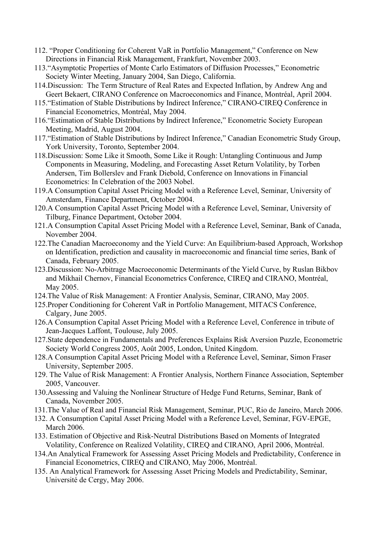- 112. "Proper Conditioning for Coherent VaR in Portfolio Management," Conference on New Directions in Financial Risk Management, Frankfurt, November 2003.
- 113."Asymptotic Properties of Monte Carlo Estimators of Diffusion Processes," Econometric Society Winter Meeting, January 2004, San Diego, California.
- 114.Discussion: The Term Structure of Real Rates and Expected Inflation, by Andrew Ang and Geert Bekaert, CIRANO Conference on Macroeconomics and Finance, Montréal, April 2004.
- 115."Estimation of Stable Distributions by Indirect Inference," CIRANO-CIREQ Conference in Financial Econometrics, Montréal, May 2004.
- 116."Estimation of Stable Distributions by Indirect Inference," Econometric Society European Meeting, Madrid, August 2004.
- 117."Estimation of Stable Distributions by Indirect Inference," Canadian Econometric Study Group, York University, Toronto, September 2004.
- 118.Discussion: Some Like it Smooth, Some Like it Rough: Untangling Continuous and Jump Components in Measuring, Modeling, and Forecasting Asset Return Volatility, by Torben Andersen, Tim Bollerslev and Frank Diebold, Conference on Innovations in Financial Econometrics: In Celebration of the 2003 Nobel.
- 119.A Consumption Capital Asset Pricing Model with a Reference Level, Seminar, University of Amsterdam, Finance Department, October 2004.
- 120.A Consumption Capital Asset Pricing Model with a Reference Level, Seminar, University of Tilburg, Finance Department, October 2004.
- 121.A Consumption Capital Asset Pricing Model with a Reference Level, Seminar, Bank of Canada, November 2004.
- 122.The Canadian Macroeconomy and the Yield Curve: An Equilibrium-based Approach, Workshop on Identification, prediction and causality in macroeconomic and financial time series, Bank of Canada, February 2005.
- 123.Discussion: No-Arbitrage Macroeconomic Determinants of the Yield Curve, by Ruslan Bikbov and Mikhail Chernov, Financial Econometrics Conference, CIREQ and CIRANO, Montréal, May 2005.
- 124.The Value of Risk Management: A Frontier Analysis, Seminar, CIRANO, May 2005.
- 125.Proper Conditioning for Coherent VaR in Portfolio Management, MITACS Conference, Calgary, June 2005.
- 126.A Consumption Capital Asset Pricing Model with a Reference Level, Conference in tribute of Jean-Jacques Laffont, Toulouse, July 2005.
- 127.State dependence in Fundamentals and Preferences Explains Risk Aversion Puzzle, Econometric Society World Congress 2005, Août 2005, London, United Kingdom.
- 128.A Consumption Capital Asset Pricing Model with a Reference Level, Seminar, Simon Fraser University, September 2005.
- 129. The Value of Risk Management: A Frontier Analysis, Northern Finance Association, September 2005, Vancouver.
- 130.Assessing and Valuing the Nonlinear Structure of Hedge Fund Returns, Seminar, Bank of Canada, November 2005.
- 131.The Value of Real and Financial Risk Management, Seminar, PUC, Rio de Janeiro, March 2006.
- 132. A Consumption Capital Asset Pricing Model with a Reference Level, Seminar, FGV-EPGE, March 2006.
- 133. Estimation of Objective and Risk-Neutral Distributions Based on Moments of Integrated Volatility, Conference on Realized Volatility, CIREQ and CIRANO, April 2006, Montréal.
- 134.An Analytical Framework for Assessing Asset Pricing Models and Predictability, Conference in Financial Econometrics, CIREQ and CIRANO, May 2006, Montréal.
- 135. An Analytical Framework for Assessing Asset Pricing Models and Predictability, Seminar, Université de Cergy, May 2006.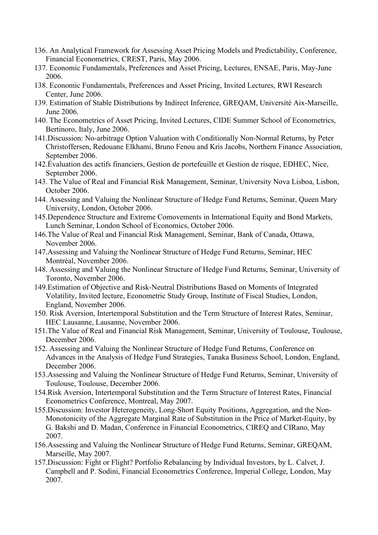- 136. An Analytical Framework for Assessing Asset Pricing Models and Predictability, Conference, Financial Econometrics, CREST, Paris, May 2006.
- 137. Economic Fundamentals, Preferences and Asset Pricing, Lectures, ENSAE, Paris, May-June 2006.
- 138. Economic Fundamentals, Preferences and Asset Pricing, Invited Lectures, RWI Research Center, June 2006.
- 139. Estimation of Stable Distributions by Indirect Inference, GREQAM, Université Aix-Marseille, June 2006.
- 140. The Econometrics of Asset Pricing, Invited Lectures, CIDE Summer School of Econometrics, Bertinoro, Italy, June 2006.
- 141.Discussion: No-arbitrage Option Valuation with Conditionally Non-Normal Returns, by Peter Christoffersen, Redouane Elkhami, Bruno Fenou and Kris Jacobs, Northern Finance Association, September 2006.
- 142.Évaluation des actifs financiers, Gestion de portefeuille et Gestion de risque, EDHEC, Nice, September 2006.
- 143. The Value of Real and Financial Risk Management, Seminar, University Nova Lisboa, Lisbon, October 2006.
- 144. Assessing and Valuing the Nonlinear Structure of Hedge Fund Returns, Seminar, Queen Mary University, London, October 2006.
- 145.Dependence Structure and Extreme Comovements in International Equity and Bond Markets, Lunch Seminar, London School of Economics, October 2006.
- 146.The Value of Real and Financial Risk Management, Seminar, Bank of Canada, Ottawa, November 2006.
- 147.Assessing and Valuing the Nonlinear Structure of Hedge Fund Returns, Seminar, HEC Montréal, November 2006.
- 148. Assessing and Valuing the Nonlinear Structure of Hedge Fund Returns, Seminar, University of Toronto, November 2006.
- 149.Estimation of Objective and Risk-Neutral Distributions Based on Moments of Integrated Volatility, Invited lecture, Econometric Study Group, Institute of Fiscal Studies, London, England, November 2006.
- 150. Risk Aversion, Intertemporal Substitution and the Term Structure of Interest Rates, Seminar, HEC Lausanne, Lausanne, November 2006.
- 151.The Value of Real and Financial Risk Management, Seminar, University of Toulouse, Toulouse, December 2006.
- 152. Assessing and Valuing the Nonlinear Structure of Hedge Fund Returns, Conference on Advances in the Analysis of Hedge Fund Strategies, Tanaka Business School, London, England, December 2006.
- 153.Assessing and Valuing the Nonlinear Structure of Hedge Fund Returns, Seminar, University of Toulouse, Toulouse, December 2006.
- 154.Risk Aversion, Intertemporal Substitution and the Term Structure of Interest Rates, Financial Econometrics Conference, Montreal, May 2007.
- 155.Discussion: Investor Heterogeneity, Long-Short Equity Positions, Aggregation, and the Non-Monotonicity of the Aggregate Marginal Rate of Substitution in the Price of Market-Equity, by G. Bakshi and D. Madan, Conference in Financial Econometrics, CIREQ and CIRano, May 2007.
- 156.Assessing and Valuing the Nonlinear Structure of Hedge Fund Returns, Seminar, GREQAM, Marseille, May 2007.
- 157.Discussion: Fight or Flight? Portfolio Rebalancing by Individual Investors, by L. Calvet, J. Campbell and P. Sodini, Financial Econometrics Conference, Imperial College, London, May 2007.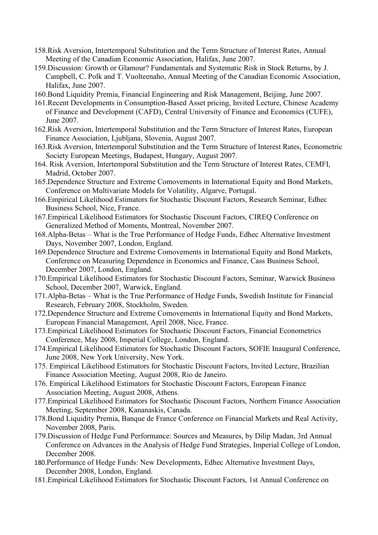- 158.Risk Aversion, Intertemporal Substitution and the Term Structure of Interest Rates, Annual Meeting of the Canadian Economic Association, Halifax, June 2007.
- 159.Discussion: Growth or Glamour? Fundamentals and Systematic Risk in Stock Returns, by J. Campbell, C. Polk and T. Vuolteenaho, Annual Meeting of the Canadian Economic Association, Halifax, June 2007.
- 160.Bond Liquidity Premia, Financial Engineering and Risk Management, Beijing, June 2007.
- 161.Recent Developments in Consumption-Based Asset pricing, Invited Lecture, Chinese Academy of Finance and Development (CAFD), Central University of Finance and Economics (CUFE), June 2007.
- 162.Risk Aversion, Intertemporal Substitution and the Term Structure of Interest Rates, European Finance Association, Ljubljana, Slovenia, August 2007.
- 163.Risk Aversion, Intertemporal Substitution and the Term Structure of Interest Rates, Econometric Society European Meetings, Budapest, Hungary, August 2007.
- 164. Risk Aversion, Intertemporal Substitution and the Term Structure of Interest Rates, CEMFI, Madrid, October 2007.
- 165.Dependence Structure and Extreme Comovements in International Equity and Bond Markets, Conference on Multivariate Models for Volatility, Algarve, Portugal.
- 166.Empirical Likelihood Estimators for Stochastic Discount Factors, Research Seminar, Edhec Business School, Nice, France.
- 167.Empirical Likelihood Estimators for Stochastic Discount Factors, CIREQ Conference on Generalized Method of Moments, Montreal, November 2007.
- 168.Alpha-Betas What is the True Performance of Hedge Funds, Edhec Alternative Investment Days, November 2007, London, England.
- 169.Dependence Structure and Extreme Comovements in International Equity and Bond Markets, Conference on Measuring Dependence in Economics and Finance, Cass Business School, December 2007, London, England.
- 170.Empirical Likelihood Estimators for Stochastic Discount Factors, Seminar, Warwick Business School, December 2007, Warwick, England.
- 171.Alpha-Betas What is the True Performance of Hedge Funds, Swedish Institute for Financial Research, February 2008, Stockholm, Sweden.
- 172.Dependence Structure and Extreme Comovements in International Equity and Bond Markets, European Financial Management, April 2008, Nice, France.
- 173.Empirical Likelihood Estimators for Stochastic Discount Factors, Financial Econometrics Conference, May 2008, Imperial College, London, England.
- 174.Empirical Likelihood Estimators for Stochastic Discount Factors, SOFIE Inaugural Conference, June 2008, New York University, New York.
- 175. Empirical Likelihood Estimators for Stochastic Discount Factors, Invited Lecture, Brazilian Finance Association Meeting, August 2008, Rio de Janeiro.
- 176. Empirical Likelihood Estimators for Stochastic Discount Factors, European Finance Association Meeting, August 2008, Athens.
- 177.Empirical Likelihood Estimators for Stochastic Discount Factors, Northern Finance Association Meeting, September 2008, Kananaskis, Canada.
- 178.Bond Liquidity Premia, Banque de France Conference on Financial Markets and Real Activity, November 2008, Paris.
- 179.Discussion of Hedge Fund Performance: Sources and Measures, by Dilip Madan, 3rd Annual Conference on Advances in the Analysis of Hedge Fund Strategies, Imperial College of London, December 2008.
- 180.Performance of Hedge Funds: New Developments, Edhec Alternative Investment Days, December 2008, London, England.
- 181.Empirical Likelihood Estimators for Stochastic Discount Factors, 1st Annual Conference on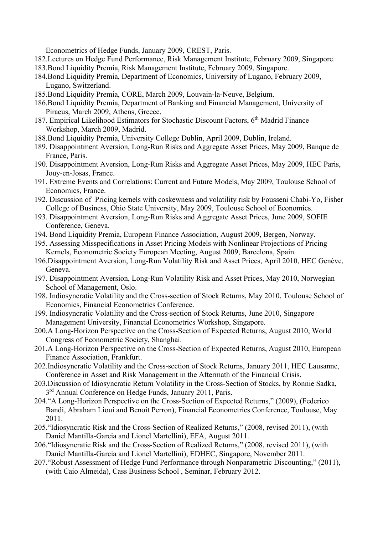Econometrics of Hedge Funds, January 2009, CREST, Paris.

- 182.Lectures on Hedge Fund Performance, Risk Management Institute, February 2009, Singapore.
- 183.Bond Liquidity Premia, Risk Management Institute, February 2009, Singapore.
- 184.Bond Liquidity Premia, Department of Economics, University of Lugano, February 2009, Lugano, Switzerland.
- 185.Bond Liquidity Premia, CORE, March 2009, Louvain-la-Neuve, Belgium.
- 186.Bond Liquidity Premia, Department of Banking and Financial Management, University of Piraeus, March 2009, Athens, Greece.
- 187. Empirical Likelihood Estimators for Stochastic Discount Factors, 6<sup>th</sup> Madrid Finance Workshop, March 2009, Madrid.
- 188.Bond Liquidity Premia, University College Dublin, April 2009, Dublin, Ireland.
- 189. Disappointment Aversion, Long-Run Risks and Aggregate Asset Prices, May 2009, Banque de France, Paris.
- 190. Disappointment Aversion, Long-Run Risks and Aggregate Asset Prices, May 2009, HEC Paris, Jouy-en-Josas, France.
- 191. Extreme Events and Correlations: Current and Future Models, May 2009, Toulouse School of Economics, France.
- 192. Discussion of Pricing kernels with coskewness and volatility risk by Fousseni Chabi-Yo, Fisher College of Business, Ohio State University, May 2009, Toulouse School of Economics.
- 193. Disappointment Aversion, Long-Run Risks and Aggregate Asset Prices, June 2009, SOFIE Conference, Geneva.
- 194. Bond Liquidity Premia, European Finance Association, August 2009, Bergen, Norway.
- 195. Assessing Misspecifications in Asset Pricing Models with Nonlinear Projections of Pricing Kernels, Econometric Society European Meeting, August 2009, Barcelona, Spain.
- 196.Disappointment Aversion, Long-Run Volatility Risk and Asset Prices, April 2010, HEC Genève, Geneva.
- 197. Disappointment Aversion, Long-Run Volatility Risk and Asset Prices, May 2010, Norwegian School of Management, Oslo.
- 198. Indiosyncratic Volatility and the Cross-section of Stock Returns, May 2010, Toulouse School of Economics, Financial Econometrics Conference.
- 199. Indiosyncratic Volatility and the Cross-section of Stock Returns, June 2010, Singapore Management University, Financial Econometrics Workshop, Singapore.
- 200.A Long-Horizon Perspective on the Cross-Section of Expected Returns, August 2010, World Congress of Econometric Society, Shanghai.
- 201.A Long-Horizon Perspective on the Cross-Section of Expected Returns, August 2010, European Finance Association, Frankfurt.
- 202.Indiosyncratic Volatility and the Cross-section of Stock Returns, January 2011, HEC Lausanne, Conference in Asset and Risk Management in the Aftermath of the Financial Crisis.
- 203.Discussion of Idiosyncratic Return Volatility in the Cross-Section of Stocks, by Ronnie Sadka, 3<sup>rd</sup> Annual Conference on Hedge Funds, January 2011, Paris.
- 204."A Long-Horizon Perspective on the Cross-Section of Expected Returns," (2009), (Federico Bandi, Abraham Lioui and Benoit Perron), Financial Econometrics Conference, Toulouse, May 2011.
- 205."Idiosyncratic Risk and the Cross-Section of Realized Returns," (2008, revised 2011), (with Daniel Mantilla-Garcia and Lionel Martellini), EFA, August 2011.
- 206."Idiosyncratic Risk and the Cross-Section of Realized Returns," (2008, revised 2011), (with Daniel Mantilla-Garcia and Lionel Martellini), EDHEC, Singapore, November 2011.
- 207."Robust Assessment of Hedge Fund Performance through Nonparametric Discounting," (2011), (with Caio Almeida), Cass Business School , Seminar, February 2012.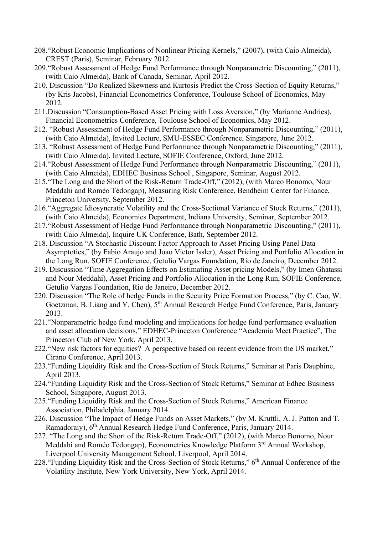- 208."Robust Economic Implications of Nonlinear Pricing Kernels," (2007), (with Caio Almeida), CREST (Paris), Seminar, February 2012.
- 209."Robust Assessment of Hedge Fund Performance through Nonparametric Discounting," (2011), (with Caio Almeida), Bank of Canada, Seminar, April 2012.
- 210. Discussion "Do Realized Skewness and Kurtosis Predict the Cross-Section of Equity Returns," (by Kris Jacobs), Financial Econometrics Conference, Toulouse School of Economics, May 2012.
- 211.Discussion "Consumption-Based Asset Pricing with Loss Aversion," (by Marianne Andries), Financial Econometrics Conference, Toulouse School of Economics, May 2012.
- 212. "Robust Assessment of Hedge Fund Performance through Nonparametric Discounting," (2011), (with Caio Almeida), Invited Lecture, SMU-ESSEC Conference, Singapore, June 2012.
- 213. "Robust Assessment of Hedge Fund Performance through Nonparametric Discounting," (2011), (with Caio Almeida), Invited Lecture, SOFIE Conference, Oxford, June 2012.
- 214."Robust Assessment of Hedge Fund Performance through Nonparametric Discounting," (2011), (with Caio Almeida), EDHEC Business School , Singapore, Seminar, August 2012.
- 215."The Long and the Short of the Risk-Return Trade-Off," (2012), (with Marco Bonomo, Nour Meddahi and Roméo Tédongap), Measuring Risk Conference, Bendheim Center for Finance, Princeton University, September 2012.
- 216."Aggregate Idiosyncratic Volatility and the Cross-Sectional Variance of Stock Returns," (2011), (with Caio Almeida), Economics Department, Indiana University, Seminar, September 2012.
- 217."Robust Assessment of Hedge Fund Performance through Nonparametric Discounting," (2011), (with Caio Almeida), Inquire UK Conference, Bath, September 2012.
- 218. Discussion "A Stochastic Discount Factor Approach to Asset Pricing Using Panel Data Asymptotics," (by Fabio Araujo and Joao Victor Issler), Asset Pricing and Portfolio Allocation in the Long Run, SOFIE Conference, Getulio Vargas Foundation, Rio de Janeiro, December 2012.
- 219. Discussion "Time Aggregation Effects on Estimating Asset pricing Models," (by Imen Ghatassi and Nour Meddahi), Asset Pricing and Portfolio Allocation in the Long Run, SOFIE Conference, Getulio Vargas Foundation, Rio de Janeiro, December 2012.
- 220. Discussion "The Role of hedge Funds in the Security Price Formation Process," (by C. Cao, W. Goetzman, B. Liang and Y. Chen), 5<sup>th</sup> Annual Research Hedge Fund Conference, Paris, January 2013.
- 221."Nonparametric hedge fund modeling and implications for hedge fund performance evaluation and asset allocation decisions," EDHEC-Princeton Conference "Academia Meet Practice", The Princeton Club of New York, April 2013.
- 222."New risk factors for equities? A perspective based on recent evidence from the US market," Cirano Conference, April 2013.
- 223."Funding Liquidity Risk and the Cross-Section of Stock Returns," Seminar at Paris Dauphine, April 2013.
- 224."Funding Liquidity Risk and the Cross-Section of Stock Returns," Seminar at Edhec Business School, Singapore, August 2013.
- 225."Funding Liquidity Risk and the Cross-Section of Stock Returns," American Finance Association, Philadelphia, January 2014.
- 226. Discussion "The Impact of Hedge Funds on Asset Markets," (by M. Kruttli, A. J. Patton and T. Ramadoraiy), 6th Annual Research Hedge Fund Conference, Paris, January 2014.
- 227. "The Long and the Short of the Risk-Return Trade-Off," (2012), (with Marco Bonomo, Nour Meddahi and Roméo Tédongap), Econometrics Knowledge Platform 3rd Annual Workshop, Liverpool University Management School, Liverpool, April 2014.
- 228. "Funding Liquidity Risk and the Cross-Section of Stock Returns," 6<sup>th</sup> Annual Conference of the Volatility Institute, New York University, New York, April 2014.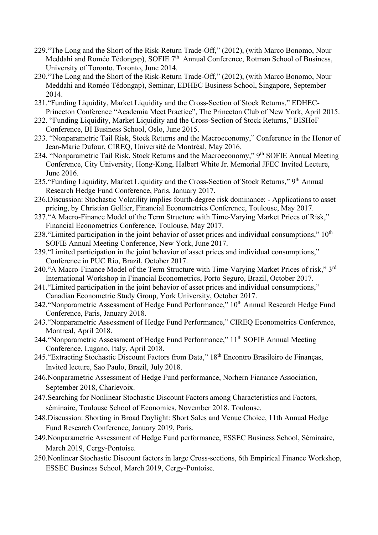- 229."The Long and the Short of the Risk-Return Trade-Off," (2012), (with Marco Bonomo, Nour Meddahi and Roméo Tédongap), SOFIE 7<sup>th</sup> Annual Conference, Rotman School of Business, University of Toronto, Toronto, June 2014.
- 230."The Long and the Short of the Risk-Return Trade-Off," (2012), (with Marco Bonomo, Nour Meddahi and Roméo Tédongap), Seminar, EDHEC Business School, Singapore, September 2014.
- 231."Funding Liquidity, Market Liquidity and the Cross-Section of Stock Returns," EDHEC-Princeton Conference "Academia Meet Practice", The Princeton Club of New York, April 2015.
- 232. "Funding Liquidity, Market Liquidity and the Cross-Section of Stock Returns," BISHoF Conference, BI Business School, Oslo, June 2015.
- 233. "Nonparametric Tail Risk, Stock Returns and the Macroeconomy," Conference in the Honor of Jean-Marie Dufour, CIREQ, Université de Montréal, May 2016.
- 234. "Nonparametric Tail Risk, Stock Returns and the Macroeconomy," 9<sup>th</sup> SOFIE Annual Meeting Conference, City University, Hong-Kong, Halbert White Jr. Memorial JFEC Invited Lecture, June 2016.
- 235. "Funding Liquidity, Market Liquidity and the Cross-Section of Stock Returns," 9<sup>th</sup> Annual Research Hedge Fund Conference, Paris, January 2017.
- 236.Discussion: Stochastic Volatility implies fourth-degree risk dominance: Applications to asset pricing, by Christian Gollier, Financial Econometrics Conference, Toulouse, May 2017.
- 237."A Macro-Finance Model of the Term Structure with Time-Varying Market Prices of Risk," Financial Econometrics Conference, Toulouse, May 2017.
- 238. "Limited participation in the joint behavior of asset prices and individual consumptions,"  $10<sup>th</sup>$ SOFIE Annual Meeting Conference, New York, June 2017.
- 239."Limited participation in the joint behavior of asset prices and individual consumptions," Conference in PUC Rio, Brazil, October 2017.
- 240."A Macro-Finance Model of the Term Structure with Time-Varying Market Prices of risk," 3rd International Workshop in Financial Econometrics, Porto Seguro, Brazil, October 2017.
- 241."Limited participation in the joint behavior of asset prices and individual consumptions," Canadian Econometric Study Group, York University, October 2017.
- 242. "Nonparametric Assessment of Hedge Fund Performance," 10<sup>th</sup> Annual Research Hedge Fund Conference, Paris, January 2018.
- 243."Nonparametric Assessment of Hedge Fund Performance," CIREQ Econometrics Conference, Montreal, April 2018.
- 244. "Nonparametric Assessment of Hedge Fund Performance," 11<sup>th</sup> SOFIE Annual Meeting Conference, Lugano, Italy, April 2018.
- 245."Extracting Stochastic Discount Factors from Data," 18th Encontro Brasileiro de Finanças, Invited lecture, Sao Paulo, Brazil, July 2018.
- 246.Nonparametric Assessment of Hedge Fund performance, Norhern Fianance Association, September 2018, Charlevoix.
- 247.Searching for Nonlinear Stochastic Discount Factors among Characteristics and Factors, séminaire, Toulouse School of Economics, November 2018, Toulouse.
- 248.Discussion: Shorting in Broad Daylight: Short Sales and Venue Choice, 11th Annual Hedge Fund Research Conference, January 2019, Paris.
- 249.Nonparametric Assessment of Hedge Fund performance, ESSEC Business School, Séminaire, March 2019, Cergy-Pontoise.
- 250.Nonlinear Stochastic Discount factors in large Cross-sections, 6th Empirical Finance Workshop, ESSEC Business School, March 2019, Cergy-Pontoise.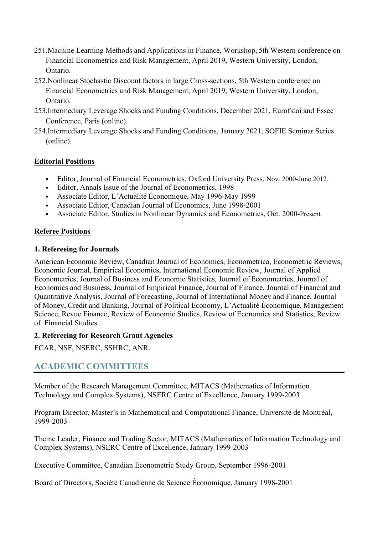- 251.Machine Learning Methods and Applications in Finance, Workshop, 5th Western conference on Financial Econometrics and Risk Management, April 2019, Western University, London, Ontario.
- 252.Nonlinear Stochastic Discount factors in large Cross-sections, 5th Western conference on Financial Econometrics and Risk Management, April 2019, Western University, London, Ontario.
- 253.Intermediary Leverage Shocks and Funding Conditions, December 2021, Eurofidai and Essec Conference, Paris (online).
- 254.Intermediary Leverage Shocks and Funding Conditions, January 2021, SOFIE Seminar Series (online).

### **Editorial Positions**

- Editor, Journal of Financial Econometrics, Oxford University Press, Nov. 2000-June 2012.
- Editor, Annals Issue of the Journal of Econometrics, 1998
- Associate Editor, L'Actualité Économique, May 1996-May 1999
- Associate Editor, Canadian Journal of Economics, June 1998-2001
- Associate Editor, Studies in Nonlinear Dynamics and Econometrics, Oct. 2000-Present

## **Referee Positions**

#### **1. Refereeing for Journals**

American Economic Review, Canadian Journal of Economics, Econometrica, Econometric Reviews, Economic Journal, Empirical Economics, International Economic Review, Journal of Applied Econometrics, Journal of Business and Economic Statistics, Journal of Econometrics, Journal of Economics and Business, Journal of Empirical Finance, Journal of Finance, Journal of Financial and Quantitative Analysis, Journal of Forecasting, Journal of International Money and Finance, Journal of Money, Credit and Banking, Journal of Political Economy, L'Actualité Économique, Management Science, Revue Finance, Review of Economic Studies, Review of Economics and Statistics, Review of Financial Studies.

#### **2. Refereeing for Research Grant Agencies**

FCAR, NSF, NSERC, SSHRC, ANR.

# **ACADEMIC COMMITTEES**

Member of the Research Management Committee, MITACS (Mathematics of Information Technology and Complex Systems), NSERC Centre of Excellence, January 1999-2003

Program Director, Master's in Mathematical and Computational Finance, Université de Montréal, 1999-2003

Theme Leader, Finance and Trading Sector, MITACS (Mathematics of Information Technology and Complex Systems), NSERC Centre of Excellence, January 1999-2003

Executive Committee, Canadian Econometric Study Group, September 1996-2001

Board of Directors, Société Canadienne de Science Économique, January 1998-2001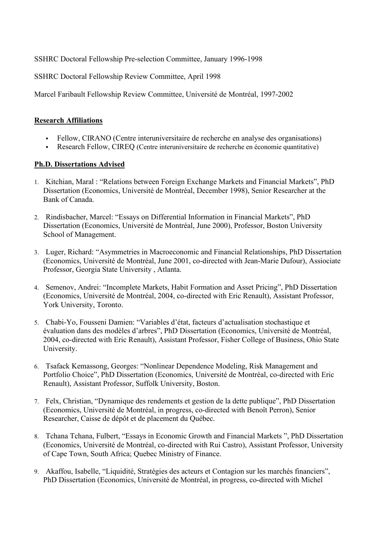SSHRC Doctoral Fellowship Pre-selection Committee, January 1996-1998

SSHRC Doctoral Fellowship Review Committee, April 1998

Marcel Faribault Fellowship Review Committee, Université de Montréal, 1997-2002

#### **Research Affiliations**

- Fellow, CIRANO (Centre interuniversitaire de recherche en analyse des organisations)
- Research Fellow, CIREQ (Centre interuniversitaire de recherche en économie quantitative)

### **Ph.D. Dissertations Advised**

- 1. Kitchian, Maral : "Relations between Foreign Exchange Markets and Financial Markets", PhD Dissertation (Economics, Université de Montréal, December 1998), Senior Researcher at the Bank of Canada.
- 2. Rindisbacher, Marcel: "Essays on Differential Information in Financial Markets", PhD Dissertation (Economics, Université de Montréal, June 2000), Professor, Boston University School of Management.
- 3. Luger, Richard: "Asymmetries in Macroeconomic and Financial Relationships, PhD Dissertation (Economics, Université de Montréal, June 2001, co-directed with Jean-Marie Dufour), Assiociate Professor, Georgia State University , Atlanta.
- 4. Semenov, Andrei: "Incomplete Markets, Habit Formation and Asset Pricing", PhD Dissertation (Economics, Université de Montréal, 2004, co-directed with Eric Renault), Assistant Professor, York University, Toronto.
- 5. Chabi-Yo, Fousseni Damien: "Variables d'état, facteurs d'actualisation stochastique et évaluation dans des modèles d'arbres", PhD Dissertation (Economics, Université de Montréal, 2004, co-directed with Eric Renault), Assistant Professor, Fisher College of Business, Ohio State University.
- 6. Tsafack Kemassong, Georges: "Nonlinear Dependence Modeling, Risk Management and Portfolio Choice", PhD Dissertation (Economics, Université de Montréal, co-directed with Eric Renault), Assistant Professor, Suffolk University, Boston.
- 7. Felx, Christian, "Dynamique des rendements et gestion de la dette publique", PhD Dissertation (Economics, Université de Montréal, in progress, co-directed with Benoît Perron), Senior Researcher, Caisse de dépôt et de placement du Québec.
- 8. Tchana Tchana, Fulbert, "Essays in Economic Growth and Financial Markets ", PhD Dissertation (Economics, Université de Montréal, co-directed with Rui Castro), Assistant Professor, University of Cape Town, South Africa; Quebec Ministry of Finance.
- 9. Akaffou, Isabelle, "Liquidité, Stratégies des acteurs et Contagion sur les marchés financiers", PhD Dissertation (Economics, Université de Montréal, in progress, co-directed with Michel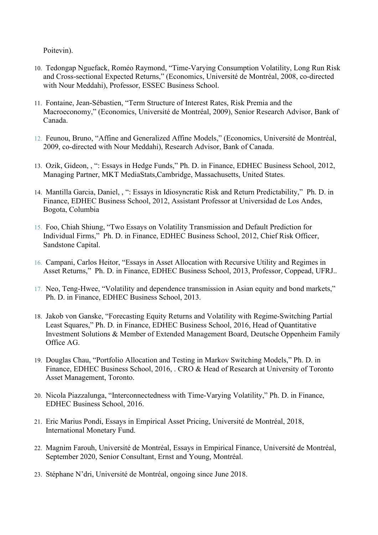Poitevin).

- 10. Tedongap Nguefack, Roméo Raymond, "Time-Varying Consumption Volatility, Long Run Risk and Cross-sectional Expected Returns," (Economics, Université de Montréal, 2008, co-directed with Nour Meddahi), Professor, ESSEC Business School.
- 11. Fontaine, Jean-Sébastien, "Term Structure of Interest Rates, Risk Premia and the Macroeconomy," (Economics, Université de Montréal, 2009), Senior Research Advisor, Bank of Canada.
- 12. Feunou, Bruno, "Affine and Generalized Affine Models," (Economics, Université de Montréal, 2009, co-directed with Nour Meddahi), Research Advisor, Bank of Canada.
- 13. Ozik, Gideon, , ": Essays in Hedge Funds," Ph. D. in Finance, EDHEC Business School, 2012, Managing Partner, MKT MediaStats,Cambridge, Massachusetts, United States.
- 14. Mantilla Garcia, Daniel, , ": Essays in Idiosyncratic Risk and Return Predictability," Ph. D. in Finance, EDHEC Business School, 2012, Assistant Professor at Universidad de Los Andes, Bogota, Columbia
- 15. Foo, Chiah Shiung, "Two Essays on Volatility Transmission and Default Prediction for Individual Firms," Ph. D. in Finance, EDHEC Business School, 2012, Chief Risk Officer, Sandstone Capital.
- 16. Campani, Carlos Heitor, "Essays in Asset Allocation with Recursive Utility and Regimes in Asset Returns," Ph. D. in Finance, EDHEC Business School, 2013, Professor, Coppead, UFRJ..
- 17. Neo, Teng-Hwee, "Volatility and dependence transmission in Asian equity and bond markets," Ph. D. in Finance, EDHEC Business School, 2013.
- 18. Jakob von Ganske, "Forecasting Equity Returns and Volatility with Regime-Switching Partial Least Squares," Ph. D. in Finance, EDHEC Business School, 2016, Head of Quantitative Investment Solutions & Member of Extended Management Board, Deutsche Oppenheim Family Office AG.
- 19. Douglas Chau, "Portfolio Allocation and Testing in Markov Switching Models," Ph. D. in Finance, EDHEC Business School, 2016, . CRO & Head of Research at University of Toronto Asset Management, Toronto.
- 20. Nicola Piazzalunga, "Interconnectedness with Time-Varying Volatility," Ph. D. in Finance, EDHEC Business School, 2016.
- 21. Eric Marius Pondi, Essays in Empirical Asset Pricing, Université de Montréal, 2018, International Monetary Fund.
- 22. Magnim Farouh, Université de Montréal, Essays in Empirical Finance, Université de Montréal, September 2020, Senior Consultant, Ernst and Young, Montréal.
- 23. Stéphane N'dri, Université de Montréal, ongoing since June 2018.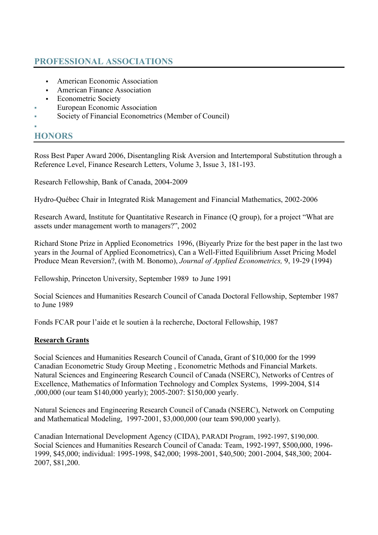# **PROFESSIONAL ASSOCIATIONS**

- American Economic Association
- American Finance Association
- **Exercise Society Figure**
- European Economic Association
- Society of Financial Econometrics (Member of Council)
- F

# **HONORS**

Ross Best Paper Award 2006, Disentangling Risk Aversion and Intertemporal Substitution through a Reference Level, Finance Research Letters, Volume 3, Issue 3, 181-193.

Research Fellowship, Bank of Canada, 2004-2009

Hydro-Québec Chair in Integrated Risk Management and Financial Mathematics, 2002-2006

Research Award, Institute for Quantitative Research in Finance (Q group), for a project "What are assets under management worth to managers?", 2002

Richard Stone Prize in Applied Econometrics 1996, (Biyearly Prize for the best paper in the last two years in the Journal of Applied Econometrics), Can a Well-Fitted Equilibrium Asset Pricing Model Produce Mean Reversion?, (with M. Bonomo), *Journal of Applied Econometrics,* 9, 19-29 (1994)

Fellowship, Princeton University, September 1989 to June 1991

Social Sciences and Humanities Research Council of Canada Doctoral Fellowship, September 1987 to June 1989

Fonds FCAR pour l'aide et le soutien à la recherche, Doctoral Fellowship, 1987

## **Research Grants**

Social Sciences and Humanities Research Council of Canada, Grant of \$10,000 for the 1999 Canadian Econometric Study Group Meeting , Econometric Methods and Financial Markets. Natural Sciences and Engineering Research Council of Canada (NSERC), Networks of Centres of Excellence, Mathematics of Information Technology and Complex Systems, 1999-2004, \$14 ,000,000 (our team \$140,000 yearly); 2005-2007: \$150,000 yearly.

Natural Sciences and Engineering Research Council of Canada (NSERC), Network on Computing and Mathematical Modeling, 1997-2001, \$3,000,000 (our team \$90,000 yearly).

Canadian International Development Agency (CIDA), PARADI Program, 1992-1997, \$190,000. Social Sciences and Humanities Research Council of Canada: Team, 1992-1997, \$500,000, 1996- 1999, \$45,000; individual: 1995-1998, \$42,000; 1998-2001, \$40,500; 2001-2004, \$48,300; 2004- 2007, \$81,200.